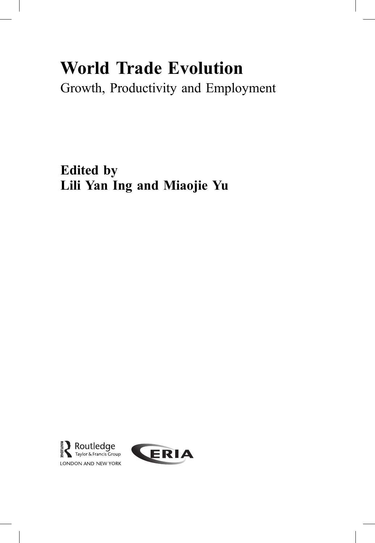# World Trade Evolution

Growth, Productivity and Employment

Edited by Lili Yan Ing and Miaojie Yu



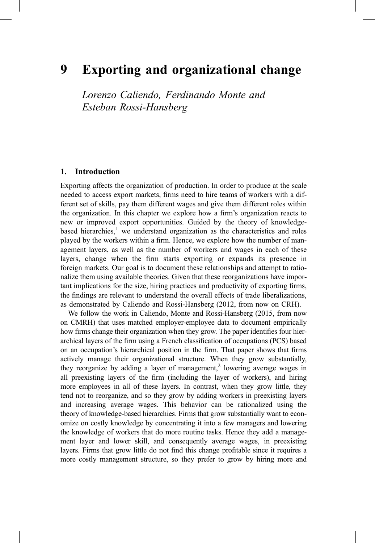# 9 Exporting and organizational change

Lorenzo Caliendo, Ferdinando Monte and Esteban Rossi-Hansberg

#### 1. Introduction

Exporting affects the organization of production. In order to produce at the scale needed to access export markets, firms need to hire teams of workers with a different set of skills, pay them different wages and give them different roles within the organization. In this chapter we explore how a firm's organization reacts to new or improved export opportunities. Guided by the theory of knowledgebased hierarchies, $<sup>1</sup>$  we understand organization as the characteristics and roles</sup> played by the workers within a firm. Hence, we explore how the number of management layers, as well as the number of workers and wages in each of these layers, change when the firm starts exporting or expands its presence in foreign markets. Our goal is to document these relationships and attempt to rationalize them using available theories. Given that these reorganizations have important implications for the size, hiring practices and productivity of exporting firms, the findings are relevant to understand the overall effects of trade liberalizations, as demonstrated by Caliendo and Rossi-Hansberg (2012, from now on CRH).

We follow the work in Caliendo, Monte and Rossi-Hansberg (2015, from now on CMRH) that uses matched employer-employee data to document empirically how firms change their organization when they grow. The paper identifies four hierarchical layers of the firm using a French classification of occupations (PCS) based on an occupation's hierarchical position in the firm. That paper shows that firms actively manage their organizational structure. When they grow substantially, they reorganize by adding a layer of management,<sup>2</sup> lowering average wages in all preexisting layers of the firm (including the layer of workers), and hiring more employees in all of these layers. In contrast, when they grow little, they tend not to reorganize, and so they grow by adding workers in preexisting layers and increasing average wages. This behavior can be rationalized using the theory of knowledge-based hierarchies. Firms that grow substantially want to economize on costly knowledge by concentrating it into a few managers and lowering the knowledge of workers that do more routine tasks. Hence they add a management layer and lower skill, and consequently average wages, in preexisting layers. Firms that grow little do not find this change profitable since it requires a more costly management structure, so they prefer to grow by hiring more and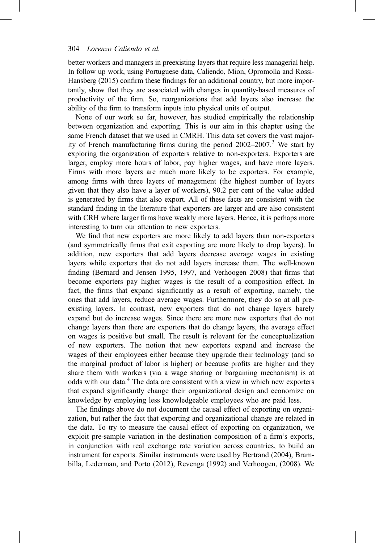better workers and managers in preexisting layers that require less managerial help. In follow up work, using Portuguese data, Caliendo, Mion, Opromolla and Rossi-Hansberg (2015) confirm these findings for an additional country, but more importantly, show that they are associated with changes in quantity-based measures of productivity of the firm. So, reorganizations that add layers also increase the ability of the firm to transform inputs into physical units of output.

None of our work so far, however, has studied empirically the relationship between organization and exporting. This is our aim in this chapter using the same French dataset that we used in CMRH. This data set covers the vast majority of French manufacturing firms during the period  $2002-2007$ .<sup>3</sup> We start by exploring the organization of exporters relative to non-exporters. Exporters are larger, employ more hours of labor, pay higher wages, and have more layers. Firms with more layers are much more likely to be exporters. For example, among firms with three layers of management (the highest number of layers given that they also have a layer of workers), 90.2 per cent of the value added is generated by firms that also export. All of these facts are consistent with the standard finding in the literature that exporters are larger and are also consistent with CRH where larger firms have weakly more layers. Hence, it is perhaps more interesting to turn our attention to new exporters.

We find that new exporters are more likely to add layers than non-exporters (and symmetrically firms that exit exporting are more likely to drop layers). In addition, new exporters that add layers decrease average wages in existing layers while exporters that do not add layers increase them. The well-known finding (Bernard and Jensen 1995, 1997, and Verhoogen 2008) that firms that become exporters pay higher wages is the result of a composition effect. In fact, the firms that expand significantly as a result of exporting, namely, the ones that add layers, reduce average wages. Furthermore, they do so at all preexisting layers. In contrast, new exporters that do not change layers barely expand but do increase wages. Since there are more new exporters that do not change layers than there are exporters that do change layers, the average effect on wages is positive but small. The result is relevant for the conceptualization of new exporters. The notion that new exporters expand and increase the wages of their employees either because they upgrade their technology (and so the marginal product of labor is higher) or because profits are higher and they share them with workers (via a wage sharing or bargaining mechanism) is at odds with our data.<sup>4</sup> The data are consistent with a view in which new exporters that expand significantly change their organizational design and economize on knowledge by employing less knowledgeable employees who are paid less.

The findings above do not document the causal effect of exporting on organization, but rather the fact that exporting and organizational change are related in the data. To try to measure the causal effect of exporting on organization, we exploit pre-sample variation in the destination composition of a firm's exports, in conjunction with real exchange rate variation across countries, to build an instrument for exports. Similar instruments were used by Bertrand (2004), Brambilla, Lederman, and Porto (2012), Revenga (1992) and Verhoogen, (2008). We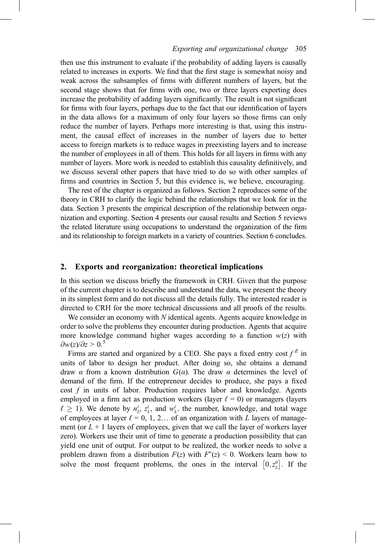#### 305 Exporting and organizational change 305

then use this instrument to evaluate if the probability of adding layers is causally related to increases in exports. We find that the first stage is somewhat noisy and weak across the subsamples of firms with different numbers of layers, but the second stage shows that for firms with one, two or three layers exporting does increase the probability of adding layers significantly. The result is not significant for firms with four layers, perhaps due to the fact that our identification of layers in the data allows for a maximum of only four layers so those firms can only reduce the number of layers. Perhaps more interesting is that, using this instrument, the causal effect of increases in the number of layers due to better access to foreign markets is to reduce wages in preexisting layers and to increase the number of employees in all of them. This holds for all layers in firms with any number of layers. More work is needed to establish this causality definitively, and we discuss several other papers that have tried to do so with other samples of firms and countries in Section 5, but this evidence is, we believe, encouraging.

The rest of the chapter is organized as follows. Section 2 reproduces some of the theory in CRH to clarify the logic behind the relationships that we look for in the data. Section 3 presents the empirical description of the relationship between organization and exporting. Section 4 presents our causal results and Section 5 reviews the related literature using occupations to understand the organization of the firm and its relationship to foreign markets in a variety of countries. Section 6 concludes.

### 2. Exports and reorganization: theoretical implications

In this section we discuss briefly the framework in CRH. Given that the purpose of the current chapter is to describe and understand the data, we present the theory in its simplest form and do not discuss all the details fully. The interested reader is directed to CRH for the more technical discussions and all proofs of the results.

We consider an economy with  $N$  identical agents. Agents acquire knowledge in order to solve the problems they encounter during production. Agents that acquire more knowledge command higher wages according to a function  $w(z)$  with  $\partial w(z)/\partial z > 0.5$ 

Firms are started and organized by a CEO. She pays a fixed entry cost  $f^E$  in units of labor to design her product. After doing so, she obtains a demand draw α from a known distribution  $G(α)$ . The draw α determines the level of demand of the firm. If the entrepreneur decides to produce, she pays a fixed cost  $f$  in units of labor. Production requires labor and knowledge. Agents employed in a firm act as production workers (layer  $\ell = 0$ ) or managers (layers  $\ell \geq 1$ ). We denote by  $n_L^{\ell}$ ,  $z_L^{\ell}$ , and  $w_L^{\ell}$ , the number, knowledge, and total wage<br>of employees at layer  $\ell = 0, 1, 2, \ldots$  of an organization with L layers of manageof employees at layer  $\ell = 0, 1, 2...$  of an organization with L layers of management (or  $L + 1$  layers of employees, given that we call the layer of workers layer zero). Workers use their unit of time to generate a production possibility that can yield one unit of output. For output to be realized, the worker needs to solve a problem drawn from a distribution  $F(z)$  with  $F''(z) < 0$ . Workers learn how to solve the most frequent problems, the ones in the interval  $[0, z<sub>L</sub><sup>0</sup>]$ . If the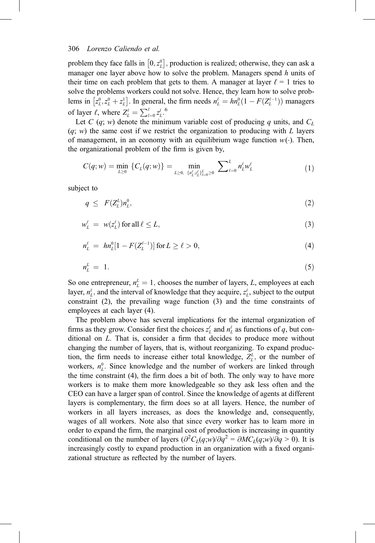problem they face falls in  $[0, z<sub>L</sub><sup>0</sup>]$ , production is realized; otherwise, they can ask a manager one layer above how to solve the problem. Managers spend  $h$  units of their time on each problem that gets to them. A manager at layer  $\ell = 1$  tries to solve the problems workers could not solve. Hence, they learn how to solve problems in  $[z_L^0, z_L^0 + z_L^1]$ . In general, the firm needs  $n_L^{\ell} = h n_L^0 (1 - F(Z_L^{\ell-1}))$  managers of layer  $\ell$ , where  $Z_L^{\ell} = \sum_{l=0}^{\ell} z_L^{l}$ .

Let C  $(q; w)$  denote the minimum variable cost of producing q units, and  $C<sub>L</sub>$  $(q; w)$  the same cost if we restrict the organization to producing with L layers of management, in an economy with an equilibrium wage function  $w(\cdot)$ . Then, the organizational problem of the firm is given by,

$$
C(q; w) = \min_{L \ge 0} \{C_L(q; w)\} = \min_{L \ge 0, \ \{n_L^{\ell}, x_L^{\ell}\}_{L=0}^L \ge 0} \ \sum_{\ell=0}^L n_L^{\ell} w_L^{\ell} \tag{1}
$$

subject to

$$
q \leq F(Z_L^L) n_L^0, \tag{2}
$$

$$
w_L^{\ell} = w(z_L^{\ell}) \text{ for all } \ell \le L,
$$
\n(3)

$$
n_L^{\ell} = h n_L^0 [1 - F(Z_L^{\ell - 1})] \text{ for } L \ge \ell > 0,
$$
\n(4)

$$
n_L^L = 1. \tag{5}
$$

So one entrepreneur,  $n_L^L = 1$ , chooses the number of layers, L, employees at each layer  $n_L^{\ell}$  and the interval of knowledge that they acquire  $\tau^{\ell}$  subject to the output layer,  $n'_L$ , and the interval of knowledge that they acquire,  $z_L^{\ell}$ , subject to the output constraint (2), the prevailing wage function (3) and the time constraints of employees at each layer (4).

The problem above has several implications for the internal organization of firms as they grow. Consider first the choices  $z_L^{\ell}$  and  $n_L^{\ell}$  as functions of q, but conditional on L. That is, consider a firm that decides to produce more without changing the number of layers, that is, without reorganizing. To expand production, the firm needs to increase either total knowledge,  $Z_L^L$ , or the number of workers,  $n_L^0$ . Since knowledge and the number of workers are linked through the time constraint (4), the firm does a bit of both. The only way to have more workers is to make them more knowledgeable so they ask less often and the CEO can have a larger span of control. Since the knowledge of agents at different layers is complementary, the firm does so at all layers. Hence, the number of workers in all layers increases, as does the knowledge and, consequently, wages of all workers. Note also that since every worker has to learn more in order to expand the firm, the marginal cost of production is increasing in quantity conditional on the number of layers  $\left(\frac{\partial^2 C_L(q, w)}{\partial q^2} = \frac{\partial M C_L(q, w)}{\partial q} > 0\right)$ . It is increasingly costly to expand production in an organization with a fixed organizational structure as reflected by the number of layers.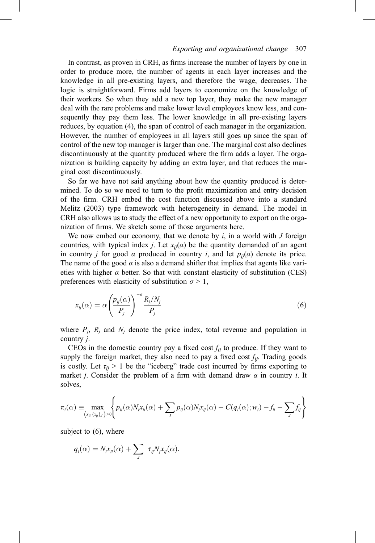#### 307 Exporting and organizational change 307

In contrast, as proven in CRH, as firms increase the number of layers by one in order to produce more, the number of agents in each layer increases and the knowledge in all pre-existing layers, and therefore the wage, decreases. The logic is straightforward. Firms add layers to economize on the knowledge of their workers. So when they add a new top layer, they make the new manager deal with the rare problems and make lower level employees know less, and consequently they pay them less. The lower knowledge in all pre-existing layers reduces, by equation (4), the span of control of each manager in the organization. However, the number of employees in all layers still goes up since the span of control of the new top manager is larger than one. The marginal cost also declines discontinuously at the quantity produced where the firm adds a layer. The organization is building capacity by adding an extra layer, and that reduces the marginal cost discontinuously.

So far we have not said anything about how the quantity produced is determined. To do so we need to turn to the profit maximization and entry decision of the firm. CRH embed the cost function discussed above into a standard Melitz (2003) type framework with heterogeneity in demand. The model in CRH also allows us to study the effect of a new opportunity to export on the organization of firms. We sketch some of those arguments here.

We now embed our economy, that we denote by  $i$ , in a world with  $J$  foreign countries, with typical index *j*. Let  $x_{ij}(\alpha)$  be the quantity demanded of an agent in country *j* for good  $\alpha$  produced in country *i*, and let  $p_{ii}(\alpha)$  denote its price. The name of the good  $\alpha$  is also a demand shifter that implies that agents like varieties with higher  $\alpha$  better. So that with constant elasticity of substitution (CES) preferences with elasticity of substitution  $\sigma > 1$ ,

$$
x_{ij}(\alpha) = \alpha \left(\frac{p_{ij}(\alpha)}{P_j}\right)^{-\sigma} \frac{R_j/N_j}{P_j}
$$
\n(6)

where  $P_i$ ,  $R_i$  and  $N_i$  denote the price index, total revenue and population in country j.

CEOs in the domestic country pay a fixed cost  $f_{ii}$  to produce. If they want to supply the foreign market, they also need to pay a fixed cost  $f_{ii}$ . Trading goods is costly. Let  $\tau_{ii} > 1$  be the "iceberg" trade cost incurred by firms exporting to market *j*. Consider the problem of a firm with demand draw  $\alpha$  in country *i*. It solves,

$$
\pi_i(\alpha) \equiv \max_{(x_{ii}, \{x_{ij}\}_J) \ge 0} \Biggl\{ p_{ii}(\alpha) N_i x_{ii}(\alpha) + \sum_J p_{ij}(\alpha) N_j x_{ij}(\alpha) - C(q_i(\alpha); w_i) - f_{ii} - \sum_J f_{ij} \Biggr\}
$$

subject to (6), where

$$
q_i(\alpha) = N_i x_{ii}(\alpha) + \sum_j \tau_{ij} N_j x_{ij}(\alpha).
$$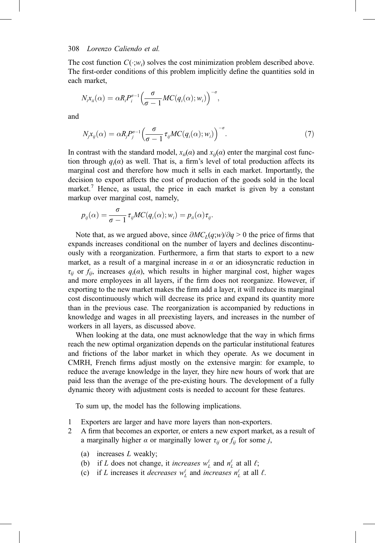The cost function  $C(\cdot;w_i)$  solves the cost minimization problem described above. The first-order conditions of this problem implicitly define the quantities sold in each market,

$$
N_{i}x_{ii}(\alpha)=\alpha R_{i}P_{i}^{\sigma-1}\left(\frac{\sigma}{\sigma-1}MC(q_{i}(\alpha);w_{i})\right)^{-\sigma},
$$

and

$$
N_j x_{ij}(\alpha) = \alpha R_j P_j^{\sigma-1} \left( \frac{\sigma}{\sigma - 1} \tau_{ij} MC(q_i(\alpha); w_i) \right)^{-\sigma}.
$$
 (7)

In contrast with the standard model,  $x_{ii}(\alpha)$  and  $x_{ii}(\alpha)$  enter the marginal cost function through  $q_i(\alpha)$  as well. That is, a firm's level of total production affects its marginal cost and therefore how much it sells in each market. Importantly, the decision to export affects the cost of production of the goods sold in the local market.<sup>7</sup> Hence, as usual, the price in each market is given by a constant markup over marginal cost, namely,

$$
p_{ij}(\alpha) = \frac{\sigma}{\sigma - 1} \tau_{ij} MC(q_i(\alpha); w_i) = p_{ii}(\alpha) \tau_{ij}.
$$

Note that, as we argued above, since  $\partial M C_L(q;w)/\partial q > 0$  the price of firms that expands increases conditional on the number of layers and declines discontinuously with a reorganization. Furthermore, a firm that starts to export to a new market, as a result of a marginal increase in  $\alpha$  or an idiosyncratic reduction in  $\tau_{ii}$  or  $f_{ii}$ , increases  $q_i(\alpha)$ , which results in higher marginal cost, higher wages and more employees in all layers, if the firm does not reorganize. However, if exporting to the new market makes the firm add a layer, it will reduce its marginal cost discontinuously which will decrease its price and expand its quantity more than in the previous case. The reorganization is accompanied by reductions in knowledge and wages in all preexisting layers, and increases in the number of workers in all layers, as discussed above.

When looking at the data, one must acknowledge that the way in which firms reach the new optimal organization depends on the particular institutional features and frictions of the labor market in which they operate. As we document in CMRH, French firms adjust mostly on the extensive margin: for example, to reduce the average knowledge in the layer, they hire new hours of work that are paid less than the average of the pre-existing hours. The development of a fully dynamic theory with adjustment costs is needed to account for these features.

To sum up, the model has the following implications.

- 1 Exporters are larger and have more layers than non-exporters.
- 2 A firm that becomes an exporter, or enters a new export market, as a result of a marginally higher  $\alpha$  or marginally lower  $\tau_{ij}$  or  $f_{ij}$  for some j,
	- (a) increases  $L$  weakly;
	- (b) if L does not change, it *increases*  $w<sub>L</sub><sup>\ell</sup>$  and  $n<sub>L</sub><sup>\ell</sup>$  at all  $\ell$ ;
	- (c) if L increases it decreases  $w_L^{\ell}$  and increases  $n_L^{\ell}$  at all  $\ell$ .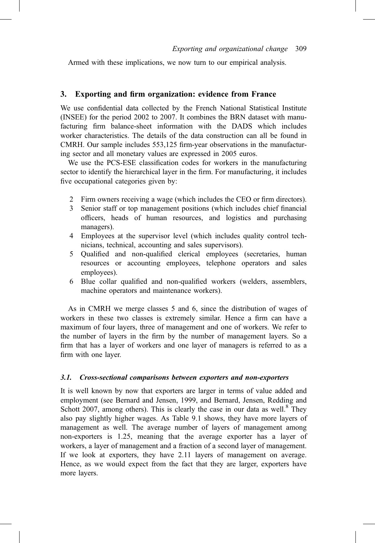Armed with these implications, we now turn to our empirical analysis.

### 3. Exporting and firm organization: evidence from France

We use confidential data collected by the French National Statistical Institute (INSEE) for the period 2002 to 2007. It combines the BRN dataset with manufacturing firm balance-sheet information with the DADS which includes worker characteristics. The details of the data construction can all be found in CMRH. Our sample includes 553,125 firm-year observations in the manufacturing sector and all monetary values are expressed in 2005 euros.

We use the PCS-ESE classification codes for workers in the manufacturing sector to identify the hierarchical layer in the firm. For manufacturing, it includes five occupational categories given by:

- 2 Firm owners receiving a wage (which includes the CEO or firm directors).
- 3 Senior staff or top management positions (which includes chief financial officers, heads of human resources, and logistics and purchasing managers).
- 4 Employees at the supervisor level (which includes quality control technicians, technical, accounting and sales supervisors).
- 5 Qualified and non-qualified clerical employees (secretaries, human resources or accounting employees, telephone operators and sales employees).
- 6 Blue collar qualified and non-qualified workers (welders, assemblers, machine operators and maintenance workers).

As in CMRH we merge classes 5 and 6, since the distribution of wages of workers in these two classes is extremely similar. Hence a firm can have a maximum of four layers, three of management and one of workers. We refer to the number of layers in the firm by the number of management layers. So a firm that has a layer of workers and one layer of managers is referred to as a firm with one layer.

#### 3.1. Cross-sectional comparisons between exporters and non-exporters

It is well known by now that exporters are larger in terms of value added and employment (see Bernard and Jensen, 1999, and Bernard, Jensen, Redding and Schott 2007, among others). This is clearly the case in our data as well. $8$  They also pay slightly higher wages. As Table 9.1 shows, they have more layers of management as well. The average number of layers of management among non-exporters is 1.25, meaning that the average exporter has a layer of workers, a layer of management and a fraction of a second layer of management. If we look at exporters, they have 2.11 layers of management on average. Hence, as we would expect from the fact that they are larger, exporters have more layers.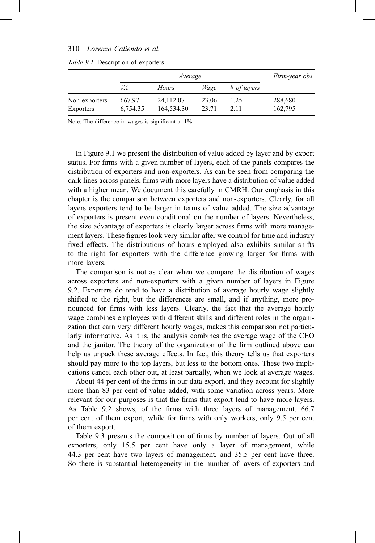|                            |                    | Firm-year obs.          |                |              |                    |
|----------------------------|--------------------|-------------------------|----------------|--------------|--------------------|
|                            | VA                 | <b>Hours</b>            | Wage           | # of layers  |                    |
| Non-exporters<br>Exporters | 667.97<br>6.754.35 | 24,112.07<br>164,534.30 | 23.06<br>23.71 | 1.25<br>2.11 | 288,680<br>162,795 |
|                            |                    |                         |                |              |                    |

#### Table 9.1 Description of exporters

Note: The difference in wages is significant at 1%.

In Figure 9.1 we present the distribution of value added by layer and by export status. For firms with a given number of layers, each of the panels compares the distribution of exporters and non-exporters. As can be seen from comparing the dark lines across panels, firms with more layers have a distribution of value added with a higher mean. We document this carefully in CMRH. Our emphasis in this chapter is the comparison between exporters and non-exporters. Clearly, for all layers exporters tend to be larger in terms of value added. The size advantage of exporters is present even conditional on the number of layers. Nevertheless, the size advantage of exporters is clearly larger across firms with more management layers. These figures look very similar after we control for time and industry fixed effects. The distributions of hours employed also exhibits similar shifts to the right for exporters with the difference growing larger for firms with more layers.

The comparison is not as clear when we compare the distribution of wages across exporters and non-exporters with a given number of layers in Figure 9.2. Exporters do tend to have a distribution of average hourly wage slightly shifted to the right, but the differences are small, and if anything, more pronounced for firms with less layers. Clearly, the fact that the average hourly wage combines employees with different skills and different roles in the organization that earn very different hourly wages, makes this comparison not particularly informative. As it is, the analysis combines the average wage of the CEO and the janitor. The theory of the organization of the firm outlined above can help us unpack these average effects. In fact, this theory tells us that exporters should pay more to the top layers, but less to the bottom ones. These two implications cancel each other out, at least partially, when we look at average wages.

About 44 per cent of the firms in our data export, and they account for slightly more than 83 per cent of value added, with some variation across years. More relevant for our purposes is that the firms that export tend to have more layers. As Table 9.2 shows, of the firms with three layers of management, 66.7 per cent of them export, while for firms with only workers, only 9.5 per cent of them export.

Table 9.3 presents the composition of firms by number of layers. Out of all exporters, only 15.5 per cent have only a layer of management, while 44.3 per cent have two layers of management, and 35.5 per cent have three. So there is substantial heterogeneity in the number of layers of exporters and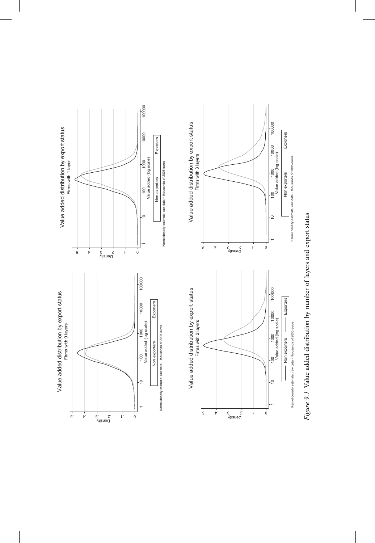

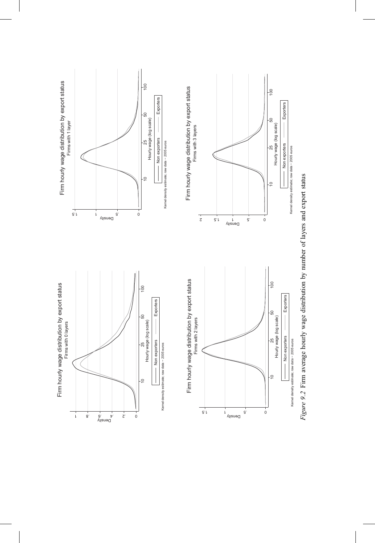

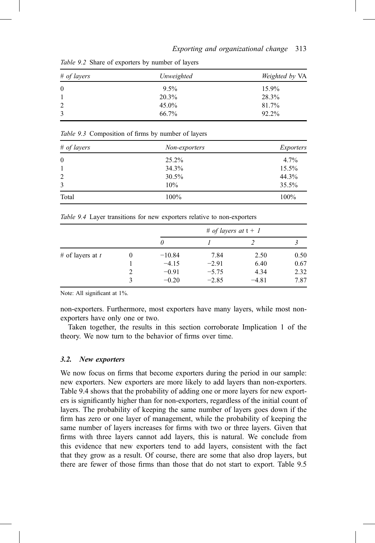| # of layers | Unweighted | Weighted by VA |  |
|-------------|------------|----------------|--|
| $\bf{0}$    | $9.5\%$    | 15.9%          |  |
|             | 20.3%      | 28.3%          |  |
| 2           | $45.0\%$   | 81.7%          |  |
| 3           | 66.7%      | 92.2%          |  |

Table 9.2 Share of exporters by number of layers

|  | Table 9.3 Composition of firms by number of layers |  |  |  |
|--|----------------------------------------------------|--|--|--|
|--|----------------------------------------------------|--|--|--|

| # of layers  | Non-exporters | <i>Exporters</i> |
|--------------|---------------|------------------|
| $\mathbf{0}$ | $25.2\%$      | 4.7%             |
| -1           | 34.3%         | 15.5%            |
| 2            | $30.5\%$      | 44.3%            |
| 3            | 10%           | $35.5\%$         |
| Total        | $100\%$       | 100%             |

Table 9.4 Layer transitions for new exporters relative to non-exporters

|                    |                | # of layers at $t + 1$ |         |         |      |
|--------------------|----------------|------------------------|---------|---------|------|
|                    |                | $\theta$               |         |         |      |
| # of layers at $t$ | $\theta$       | $-10.84$               | 7.84    | 2.50    | 0.50 |
|                    |                | $-4.15$                | $-2.91$ | 6.40    | 0.67 |
|                    | $\mathfrak{D}$ | $-0.91$                | $-5.75$ | 4.34    | 2.32 |
|                    |                | $-0.20$                | $-2.85$ | $-4.81$ | 7.87 |

Note: All significant at 1%.

non-exporters. Furthermore, most exporters have many layers, while most nonexporters have only one or two.

Taken together, the results in this section corroborate Implication 1 of the theory. We now turn to the behavior of firms over time.

#### 3.2. New exporters

We now focus on firms that become exporters during the period in our sample: new exporters. New exporters are more likely to add layers than non-exporters. Table 9.4 shows that the probability of adding one or more layers for new exporters is significantly higher than for non-exporters, regardless of the initial count of layers. The probability of keeping the same number of layers goes down if the firm has zero or one layer of management, while the probability of keeping the same number of layers increases for firms with two or three layers. Given that firms with three layers cannot add layers, this is natural. We conclude from this evidence that new exporters tend to add layers, consistent with the fact that they grow as a result. Of course, there are some that also drop layers, but there are fewer of those firms than those that do not start to export. Table 9.5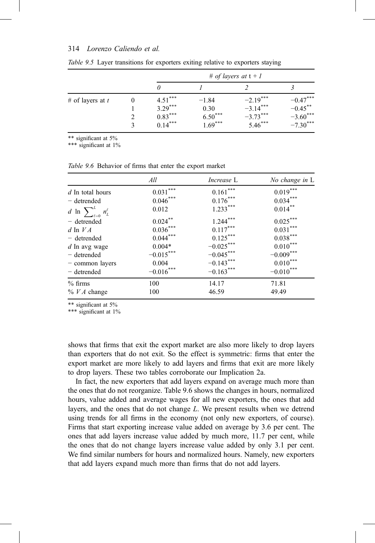|                    |        | # of layers at $t + 1$                           |                                           |                                                     |                                                      |
|--------------------|--------|--------------------------------------------------|-------------------------------------------|-----------------------------------------------------|------------------------------------------------------|
|                    |        | 0                                                |                                           |                                                     |                                                      |
| # of layers at $t$ | $_{0}$ | $4.51***$<br>$3.29***$<br>$0.83***$<br>$0.14***$ | $-1.84$<br>0.30<br>$6.50***$<br>$1.69***$ | $-2.19***$<br>$-3.14***$<br>$-3.73***$<br>$5.46***$ | $-0.47***$<br>$-0.45***$<br>$-3.60***$<br>$-7.30***$ |

Table 9.5 Layer transitions for exporters exiting relative to exporters staying

\*\* significant at 5%

\*\*\* significant at 1%

Table 9.6 Behavior of firms that enter the export market

|                                   | All         | <i>Increase</i> L | No change in L |
|-----------------------------------|-------------|-------------------|----------------|
| $d$ In total hours                | $0.031***$  | $0.161***$        | $0.019***$     |
| - detrended                       | $0.046***$  | $0.176***$        | $0.034***$     |
| d ln $\sum_{\ell=0}^L n_L^{\ell}$ | 0.012       | $1.233***$        | $0.014***$     |
| $-$ detrended                     | $0.024***$  | $1.244***$        | $0.025***$     |
| $d \ln VA$                        | $0.036***$  | $0.117***$        | $0.031***$     |
| - detrended                       | $0.044***$  | $0.125***$        | $0.038***$     |
| $d$ In avg wage                   | $0.004*$    | $-0.025***$       | $0.010***$     |
| - detrended                       | $-0.015***$ | $-0.045***$       | $-0.009***$    |
| - common layers                   | 0.004       | $-0.143***$       | $0.010***$     |
| - detrended                       | $-0.016***$ | $-0.163***$       | $-0.010***$    |
| $%$ firms                         | 100         | 14.17             | 71.81          |
| $\%$ <i>VA</i> change             | 100         | 46.59             | 49.49          |

\*\* significant at 5%

\*\*\* significant at 1%

shows that firms that exit the export market are also more likely to drop layers than exporters that do not exit. So the effect is symmetric: firms that enter the export market are more likely to add layers and firms that exit are more likely to drop layers. These two tables corroborate our Implication 2a.

In fact, the new exporters that add layers expand on average much more than the ones that do not reorganize. Table 9.6 shows the changes in hours, normalized hours, value added and average wages for all new exporters, the ones that add layers, and the ones that do not change L. We present results when we detrend using trends for all firms in the economy (not only new exporters, of course). Firms that start exporting increase value added on average by 3.6 per cent. The ones that add layers increase value added by much more, 11.7 per cent, while the ones that do not change layers increase value added by only 3.1 per cent. We find similar numbers for hours and normalized hours. Namely, new exporters that add layers expand much more than firms that do not add layers.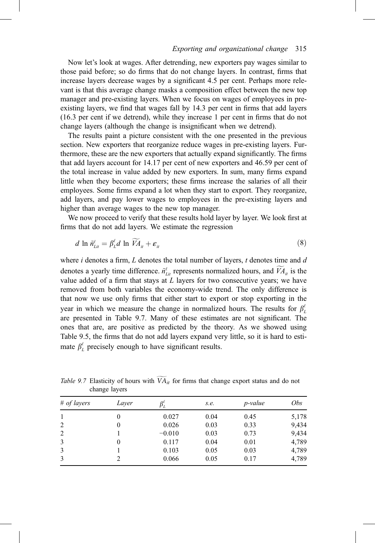#### 315 Exporting and organizational change 315

Now let's look at wages. After detrending, new exporters pay wages similar to those paid before; so do firms that do not change layers. In contrast, firms that increase layers decrease wages by a significant 4.5 per cent. Perhaps more relevant is that this average change masks a composition effect between the new top manager and pre-existing layers. When we focus on wages of employees in preexisting layers, we find that wages fall by 14.3 per cent in firms that add layers (16.3 per cent if we detrend), while they increase 1 per cent in firms that do not change layers (although the change is insignificant when we detrend).

The results paint a picture consistent with the one presented in the previous section. New exporters that reorganize reduce wages in pre-existing layers. Furthermore, these are the new exporters that actually expand significantly. The firms that add layers account for 14.17 per cent of new exporters and 46.59 per cent of the total increase in value added by new exporters. In sum, many firms expand little when they become exporters; these firms increase the salaries of all their employees. Some firms expand a lot when they start to export. They reorganize, add layers, and pay lower wages to employees in the pre-existing layers and higher than average wages to the new top manager.

We now proceed to verify that these results hold layer by layer. We look first at firms that do not add layers. We estimate the regression

$$
d \ln \tilde{n}_{\text{L}i}^{\ell} = \beta_{\text{L}}^{\ell} d \ln \tilde{V} A_{\text{it}} + \varepsilon_{\text{it}} \tag{8}
$$

where  $i$  denotes a firm,  $L$  denotes the total number of layers,  $t$  denotes time and  $d$ denotes a yearly time difference.  $\tilde{n}_{\text{Lit}}^{\ell}$  represents normalized hours, and  $VA_{\text{it}}$  is the value added of a firm that stays at  $L$  layers for two consecutive years; we have removed from both variables the economy-wide trend. The only difference is that now we use only firms that either start to export or stop exporting in the year in which we measure the change in normalized hours. The results for  $\beta_l^{\ell}$ are presented in Table 9.7. Many of these estimates are not significant. The ones that are, are positive as predicted by the theory. As we showed using Table 9.5, the firms that do not add layers expand very little, so it is hard to estimate  $\beta_L^{\ell}$  precisely enough to have significant results.

| # of layers    | Layer | Ρī.      | s.e. | <i>p</i> -value | <i>Obs</i> |
|----------------|-------|----------|------|-----------------|------------|
| 1              | 0     | 0.027    | 0.04 | 0.45            | 5,178      |
| $\overline{2}$ | 0     | 0.026    | 0.03 | 0.33            | 9,434      |
| 2              |       | $-0.010$ | 0.03 | 0.73            | 9,434      |
| 3              | 0     | 0.117    | 0.04 | 0.01            | 4,789      |
| 3              |       | 0.103    | 0.05 | 0.03            | 4,789      |
| 3              |       | 0.066    | 0.05 | 0.17            | 4,789      |

Table 9.7 Elasticity of hours with  $\widetilde{VA}_{it}$  for firms that change export status and do not change layers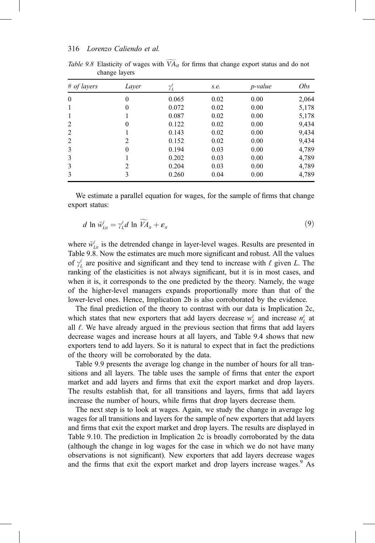| # of layers  | Layer            | $\gamma_L^\ell$ | s.e. | <i>p</i> -value | Obs   |
|--------------|------------------|-----------------|------|-----------------|-------|
| $\mathbf{0}$ | 0                | 0.065           | 0.02 | 0.00            | 2,064 |
|              | 0                | 0.072           | 0.02 | 0.00            | 5,178 |
|              |                  | 0.087           | 0.02 | 0.00            | 5,178 |
| 2            | 0                | 0.122           | 0.02 | 0.00            | 9,434 |
| 2            |                  | 0.143           | 0.02 | 0.00            | 9,434 |
| 2            | 2                | 0.152           | 0.02 | 0.00            | 9,434 |
| 3            | $\boldsymbol{0}$ | 0.194           | 0.03 | 0.00            | 4,789 |
| 3            |                  | 0.202           | 0.03 | 0.00            | 4,789 |
| 3            | 2                | 0.204           | 0.03 | 0.00            | 4,789 |
| 3            | 3                | 0.260           | 0.04 | 0.00            | 4,789 |

Table 9.8 Elasticity of wages with  $\widetilde{VA}_{it}$  for firms that change export status and do not change layers

We estimate a parallel equation for wages, for the sample of firms that change export status:

$$
d \ln \tilde{w}_{\text{L}i}^{\ell} = \gamma_{\text{L}}^{\ell} d \ln \tilde{V} A_{\text{u}} + \varepsilon_{\text{u}}
$$
\n
$$
\tag{9}
$$

where  $\tilde{w}_{\text{Lit}}^{\ell}$  is the detrended change in layer-level wages. Results are presented in Table 9.8. Now the estimates are much more significant and robust. All the values of  $\gamma_L^{\ell}$  are positive and significant and they tend to increase with  $\ell$  given L. The ranking of the elasticities is not always significant, but it is in most cases, and when it is, it corresponds to the one predicted by the theory. Namely, the wage of the higher-level managers expands proportionally more than that of the lower-level ones. Hence, Implication 2b is also corroborated by the evidence.

The final prediction of the theory to contrast with our data is Implication 2c, which states that new exporters that add layers decrease  $w<sub>L</sub><sup>\ell</sup>$  and increase  $n<sub>L</sub><sup>\ell</sup>$  at all  $\ell$ . We have already argued in the previous section that firms that add layers decrease wages and increase hours at all layers, and Table 9.4 shows that new exporters tend to add layers. So it is natural to expect that in fact the predictions of the theory will be corroborated by the data.

Table 9.9 presents the average log change in the number of hours for all transitions and all layers. The table uses the sample of firms that enter the export market and add layers and firms that exit the export market and drop layers. The results establish that, for all transitions and layers, firms that add layers increase the number of hours, while firms that drop layers decrease them.

The next step is to look at wages. Again, we study the change in average log wages for all transitions and layers for the sample of new exporters that add layers and firms that exit the export market and drop layers. The results are displayed in Table 9.10. The prediction in Implication 2c is broadly corroborated by the data (although the change in log wages for the case in which we do not have many observations is not significant). New exporters that add layers decrease wages and the firms that exit the export market and drop layers increase wages.<sup>9</sup> As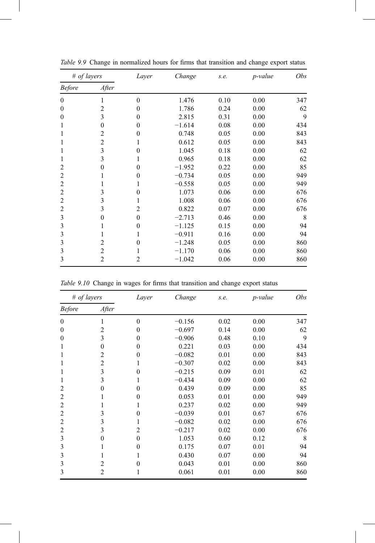| # of layers    |                | Layer    | Change   | s.e. | p-value | Obs |
|----------------|----------------|----------|----------|------|---------|-----|
| <b>Before</b>  | After          |          |          |      |         |     |
| $\theta$       |                | $\theta$ | 1.476    | 0.10 | 0.00    | 347 |
| $\Omega$       | 2              | $\theta$ | 1.786    | 0.24 | 0.00    | 62  |
| $\theta$       | 3              | $\theta$ | 2.815    | 0.31 | 0.00    | 9   |
| 1              | $\theta$       | $\theta$ | $-1.614$ | 0.08 | 0.00    | 434 |
|                | 2              | $\theta$ | 0.748    | 0.05 | 0.00    | 843 |
|                | 2              | 1        | 0.612    | 0.05 | 0.00    | 843 |
| 1              | 3              | $\theta$ | 1.045    | 0.18 | 0.00    | 62  |
|                | 3              | 1        | 0.965    | 0.18 | 0.00    | 62  |
| 2              | 0              | $\theta$ | $-1.952$ | 0.22 | 0.00    | 85  |
| 2              |                | $\theta$ | $-0.734$ | 0.05 | 0.00    | 949 |
| 2              |                |          | $-0.558$ | 0.05 | 0.00    | 949 |
| $\overline{2}$ | 3              | $\theta$ | 1.073    | 0.06 | 0.00    | 676 |
| 2              | 3              | 1        | 1.008    | 0.06 | 0.00    | 676 |
| 2              | 3              | 2        | 0.822    | 0.07 | 0.00    | 676 |
| 3              | $\theta$       | $\theta$ | $-2.713$ | 0.46 | 0.00    | 8   |
| 3              |                | $\theta$ | $-1.125$ | 0.15 | 0.00    | 94  |
| 3              |                |          | $-0.911$ | 0.16 | 0.00    | 94  |
| 3              | 2              | $\theta$ | $-1.248$ | 0.05 | 0.00    | 860 |
| 3              | $\overline{2}$ |          | $-1.170$ | 0.06 | 0.00    | 860 |
| 3              | $\overline{2}$ | 2        | $-1.042$ | 0.06 | 0.00    | 860 |

Table 9.9 Change in normalized hours for firms that transition and change export status

Table 9.10 Change in wages for firms that transition and change export status

| # of layers    |                | Layer    | Change   | s.e. | <i>p</i> -value | Obs |
|----------------|----------------|----------|----------|------|-----------------|-----|
| <b>Before</b>  | After          |          |          |      |                 |     |
| $\mathbf{0}$   | 1              | $\Omega$ | $-0.156$ | 0.02 | 0.00            | 347 |
| $\theta$       | 2              | $\Omega$ | $-0.697$ | 0.14 | 0.00            | 62  |
| $\Omega$       | 3              | $\Omega$ | $-0.906$ | 0.48 | 0.10            | 9   |
| 1              | 0              | $\theta$ | 0.221    | 0.03 | 0.00            | 434 |
| 1              | 2              | $\theta$ | $-0.082$ | 0.01 | 0.00            | 843 |
| 1              | $\overline{2}$ |          | $-0.307$ | 0.02 | 0.00            | 843 |
| 1              | 3              | $\Omega$ | $-0.215$ | 0.09 | 0.01            | 62  |
| 1              | 3              | 1        | $-0.434$ | 0.09 | 0.00            | 62  |
| 2              | $\theta$       | $\Omega$ | 0.439    | 0.09 | 0.00            | 85  |
| 2              | 1              | $\theta$ | 0.053    | 0.01 | 0.00            | 949 |
| 2              |                |          | 0.237    | 0.02 | 0.00            | 949 |
| 2              | 3              | $\Omega$ | $-0.039$ | 0.01 | 0.67            | 676 |
| $\overline{2}$ | 3              | 1        | $-0.082$ | 0.02 | 0.00            | 676 |
| 2              | 3              | 2        | $-0.217$ | 0.02 | 0.00            | 676 |
| 3              | $\Omega$       | $\Omega$ | 1.053    | 0.60 | 0.12            | 8   |
| 3              |                | $\theta$ | 0.175    | 0.07 | 0.01            | 94  |
| 3              | 1              | 1        | 0.430    | 0.07 | 0.00            | 94  |
| 3              | $\overline{2}$ | $\Omega$ | 0.043    | 0.01 | 0.00            | 860 |
| 3              | 2              | 1        | 0.061    | 0.01 | 0.00            | 860 |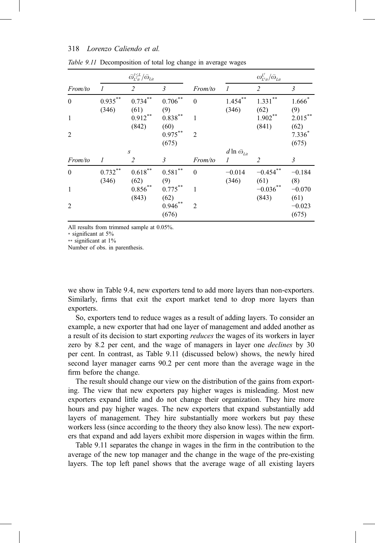|                |                     | $\bar{\omega}_{L'it}^{\ell \leq L}/\bar{\omega}_{Lit}$ |                               |                             |                                              | $\omega^{L'}_{L'i}/\bar{\omega}_{Lit}$ |                           |
|----------------|---------------------|--------------------------------------------------------|-------------------------------|-----------------------------|----------------------------------------------|----------------------------------------|---------------------------|
| From/to        | $\boldsymbol{l}$    | 2                                                      | 3                             | From/to                     | $\mathcal{I}_{\mathcal{I}}$                  | $\overline{2}$                         | $\mathfrak{Z}$            |
| $\mathbf{0}$   | $0.935***$<br>(346) | $0.734$ <sup>*</sup><br>(61)                           | $0.706***$<br>(9)             | $\theta$                    | $1.454***$<br>(346)                          | 1.331<br>(62)                          | $1.666*$<br>(9)           |
| $\mathbf{1}$   |                     | $0.912***$<br>(842)                                    | $0.838***$<br>(60)            | 1                           |                                              | $1.902**$<br>(841)                     | $2.015***$<br>(62)        |
| 2              |                     |                                                        | $0.975***$<br>(675)           | $\mathcal{D}_{\mathcal{L}}$ |                                              |                                        | $7.336*$<br>(675)         |
|                |                     | $\boldsymbol{S}$                                       |                               |                             | $d\ln\bar{\omega}_{\scriptscriptstyle{Lit}}$ |                                        |                           |
| From/to        | 1                   | 2                                                      | 3                             | From/to                     | 1                                            | 2                                      | 3                         |
| $\theta$       | $0.732***$<br>(346) | $0.618^{**}$<br>(62)                                   | **<br>0.581<br>(9)            | $\theta$                    | $-0.014$<br>(346)                            | $-0.454$<br>(61)                       | $-0.184$<br>(8)           |
| $\mathbf{1}$   |                     | $0.856^{**}$                                           | $0.775***$                    | 1                           |                                              | $-0.036$                               | $-0.070$                  |
| $\overline{2}$ |                     | (843)                                                  | (62)<br>$0.946^{**}$<br>(676) | $\overline{2}$              |                                              | (843)                                  | (61)<br>$-0.023$<br>(675) |

Table 9.11 Decomposition of total log change in average wages

All results from trimmed sample at 0.05%.

\* significant at 5%

\*\* significant at 1%

Number of obs. in parenthesis.

we show in Table 9.4, new exporters tend to add more layers than non-exporters. Similarly, firms that exit the export market tend to drop more layers than exporters.

So, exporters tend to reduce wages as a result of adding layers. To consider an example, a new exporter that had one layer of management and added another as a result of its decision to start exporting reduces the wages of its workers in layer zero by 8.2 per cent, and the wage of managers in layer one *declines* by 30 per cent. In contrast, as Table 9.11 (discussed below) shows, the newly hired second layer manager earns 90.2 per cent more than the average wage in the firm before the change.

The result should change our view on the distribution of the gains from exporting. The view that new exporters pay higher wages is misleading. Most new exporters expand little and do not change their organization. They hire more hours and pay higher wages. The new exporters that expand substantially add layers of management. They hire substantially more workers but pay these workers less (since according to the theory they also know less). The new exporters that expand and add layers exhibit more dispersion in wages within the firm.

Table 9.11 separates the change in wages in the firm in the contribution to the average of the new top manager and the change in the wage of the pre-existing layers. The top left panel shows that the average wage of all existing layers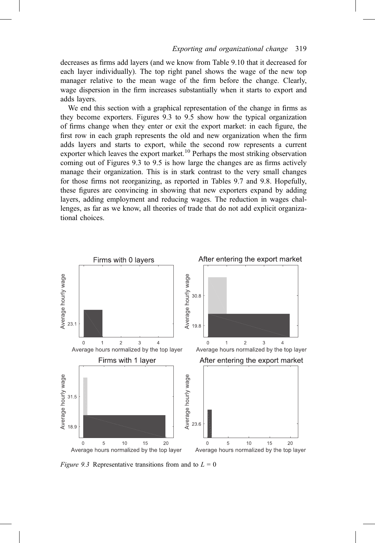decreases as firms add layers (and we know from Table 9.10 that it decreased for each layer individually). The top right panel shows the wage of the new top manager relative to the mean wage of the firm before the change. Clearly, wage dispersion in the firm increases substantially when it starts to export and adds layers.

We end this section with a graphical representation of the change in firms as they become exporters. Figures 9.3 to 9.5 show how the typical organization of firms change when they enter or exit the export market: in each figure, the first row in each graph represents the old and new organization when the firm adds layers and starts to export, while the second row represents a current exporter which leaves the export market.<sup>10</sup> Perhaps the most striking observation coming out of Figures 9.3 to 9.5 is how large the changes are as firms actively manage their organization. This is in stark contrast to the very small changes for those firms not reorganizing, as reported in Tables 9.7 and 9.8. Hopefully, these figures are convincing in showing that new exporters expand by adding layers, adding employment and reducing wages. The reduction in wages challenges, as far as we know, all theories of trade that do not add explicit organizational choices.



Figure 9.3 Representative transitions from and to  $L = 0$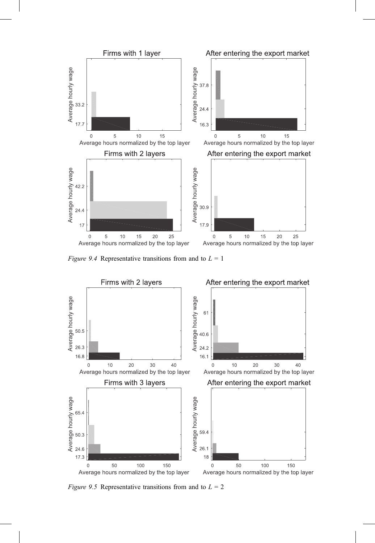

Figure 9.4 Representative transitions from and to  $L = 1$ 



*Figure 9.5* Representative transitions from and to  $L = 2$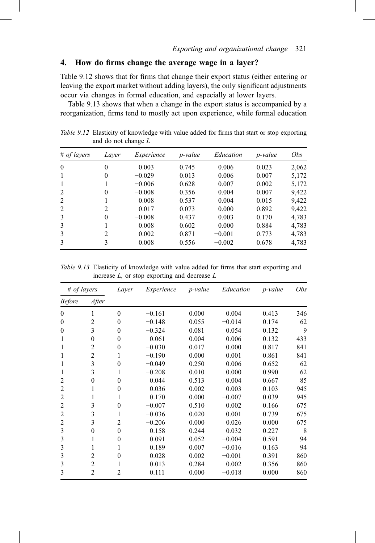# 4. How do firms change the average wage in a layer?

Table 9.12 shows that for firms that change their export status (either entering or leaving the export market without adding layers), the only significant adjustments occur via changes in formal education, and especially at lower layers.

Table 9.13 shows that when a change in the export status is accompanied by a reorganization, firms tend to mostly act upon experience, while formal education

| # of layers  | Laver            | Experience | <i>p</i> -value | Education | <i>p</i> -value | Obs   |
|--------------|------------------|------------|-----------------|-----------|-----------------|-------|
| $\theta$     | $\boldsymbol{0}$ | 0.003      | 0.745           | 0.006     | 0.023           | 2,062 |
| 1            | $\theta$         | $-0.029$   | 0.013           | 0.006     | 0.007           | 5,172 |
| $\mathbf{1}$ |                  | $-0.006$   | 0.628           | 0.007     | 0.002           | 5,172 |
| 2            | $\theta$         | $-0.008$   | 0.356           | 0.004     | 0.007           | 9,422 |
| 2            |                  | 0.008      | 0.537           | 0.004     | 0.015           | 9,422 |
| 2            | 2                | 0.017      | 0.073           | 0.000     | 0.892           | 9,422 |
| 3            | $\theta$         | $-0.008$   | 0.437           | 0.003     | 0.170           | 4,783 |
| 3            |                  | 0.008      | 0.602           | 0.000     | 0.884           | 4,783 |
| 3            | 2                | 0.002      | 0.871           | $-0.001$  | 0.773           | 4,783 |
| 3            | 3                | 0.008      | 0.556           | $-0.002$  | 0.678           | 4,783 |
|              |                  |            |                 |           |                 |       |

Table 9.12 Elasticity of knowledge with value added for firms that start or stop exporting and do not change L

Table 9.13 Elasticity of knowledge with value added for firms that start exporting and increase  $L$ , or stop exporting and decrease  $L$ 

| # of layers      |                  | Layer            | Experience | <i>p</i> -value | Education | p-value | <i>Obs</i> |
|------------------|------------------|------------------|------------|-----------------|-----------|---------|------------|
| <b>Before</b>    | After            |                  |            |                 |           |         |            |
| $\Omega$         | 1                | $\theta$         | $-0.161$   | 0.000           | 0.004     | 0.413   | 346        |
| $\boldsymbol{0}$ | 2                | $\boldsymbol{0}$ | $-0.148$   | 0.055           | $-0.014$  | 0.174   | 62         |
| $\Omega$         | 3                | $\mathbf{0}$     | $-0.324$   | 0.081           | 0.054     | 0.132   | 9          |
| 1                | $\boldsymbol{0}$ | $\mathbf{0}$     | 0.061      | 0.004           | 0.006     | 0.132   | 433        |
| 1                | $\overline{2}$   | $\theta$         | $-0.030$   | 0.017           | 0.000     | 0.817   | 841        |
| 1                | $\overline{c}$   | 1                | $-0.190$   | 0.000           | 0.001     | 0.861   | 841        |
|                  | 3                | $\theta$         | $-0.049$   | 0.250           | 0.006     | 0.652   | 62         |
| 1                | 3                | 1                | $-0.208$   | 0.010           | 0.000     | 0.990   | 62         |
| 2                | $\mathbf{0}$     | $\theta$         | 0.044      | 0.513           | 0.004     | 0.667   | 85         |
| 2                | 1                | $\theta$         | 0.036      | 0.002           | 0.003     | 0.103   | 945        |
| 2                | 1                | 1                | 0.170      | 0.000           | $-0.007$  | 0.039   | 945        |
| 2                | 3                | $\theta$         | $-0.007$   | 0.510           | 0.002     | 0.166   | 675        |
| 2                | 3                | 1                | $-0.036$   | 0.020           | 0.001     | 0.739   | 675        |
| $\overline{2}$   | 3                | $\overline{2}$   | $-0.206$   | 0.000           | 0.026     | 0.000   | 675        |
| 3                | $\boldsymbol{0}$ | $\boldsymbol{0}$ | 0.158      | 0.244           | 0.032     | 0.227   | 8          |
| 3                | 1                | $\theta$         | 0.091      | 0.052           | $-0.004$  | 0.591   | 94         |
| 3                | 1                | 1                | 0.189      | 0.007           | $-0.016$  | 0.163   | 94         |
| 3                | $\overline{2}$   | $\theta$         | 0.028      | 0.002           | $-0.001$  | 0.391   | 860        |
| 3                | $\overline{2}$   | 1                | 0.013      | 0.284           | 0.002     | 0.356   | 860        |
| $\mathcal{E}$    | $\overline{2}$   | $\overline{2}$   | 0.111      | 0.000           | $-0.018$  | 0.000   | 860        |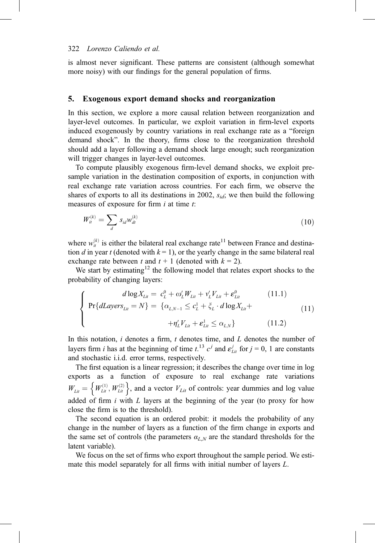is almost never significant. These patterns are consistent (although somewhat more noisy) with our findings for the general population of firms.

#### 5. Exogenous export demand shocks and reorganization

In this section, we explore a more causal relation between reorganization and layer-level outcomes. In particular, we exploit variation in firm-level exports induced exogenously by country variations in real exchange rate as a "foreign demand shock". In the theory, firms close to the reorganization threshold should add a layer following a demand shock large enough; such reorganization will trigger changes in layer-level outcomes.

To compute plausibly exogenous firm-level demand shocks, we exploit presample variation in the destination composition of exports, in conjunction with real exchange rate variation across countries. For each firm, we observe the shares of exports to all its destinations in 2002,  $s_{id}$ ; we then build the following measures of exposure for firm  $i$  at time  $t$ :

$$
W_{it}^{(k)} = \sum_{d} s_{id} w_{dt}^{(k)}
$$
 (10)

where  $w_{ii}^{(k)}$  is either the bilateral real exchange rate<sup>11</sup> between France and destination d in year t (denoted with  $k = 1$ ), or the yearly change in the same bilateral real exchange rate between t and  $t + 1$  (denoted with  $k = 2$ ).

We start by estimating<sup>12</sup> the following model that relates export shocks to the probability of changing layers:

$$
\begin{cases}\n d \log X_{Li} = c_L^0 + \omega_L' W_{Li} + v_L' V_{Li} + \varepsilon_{Li}^0 \n\end{cases} (11.1)
$$
\n
$$
\begin{cases}\n \Pr\{dLayers_{Li} = N\} = \{\alpha_{L,N-1} \le c_L^1 + \xi_L \cdot d \log X_{Li} + \n+ \eta_L' V_{Li} + \varepsilon_{Li}^1 \le \alpha_{L,N}\} \n\end{cases} (11.2)
$$

In this notation,  $i$  denotes a firm,  $t$  denotes time, and  $L$  denotes the number of layers firm *i* has at the beginning of time  $t^{13}$   $c^j$  and  $\epsilon_{\text{Lit}}^j$  for  $j = 0, 1$  are constants and stochastic i.i.d. error terms, respectively.

The first equation is a linear regression; it describes the change over time in log exports as a function of exposure to real exchange rate variations  $W_{Lit} = \left\{ W_{Lit}^{(1)}, W_{Lit}^{(2)} \right\}$ , and a vector  $V_{Lit}$  of controls: year dummies and log value added of firm  $i$  with  $L$  layers at the beginning of the year (to proxy for how close the firm is to the threshold).

The second equation is an ordered probit: it models the probability of any change in the number of layers as a function of the firm change in exports and the same set of controls (the parameters  $\alpha_{LN}$  are the standard thresholds for the latent variable).

We focus on the set of firms who export throughout the sample period. We estimate this model separately for all firms with initial number of layers L.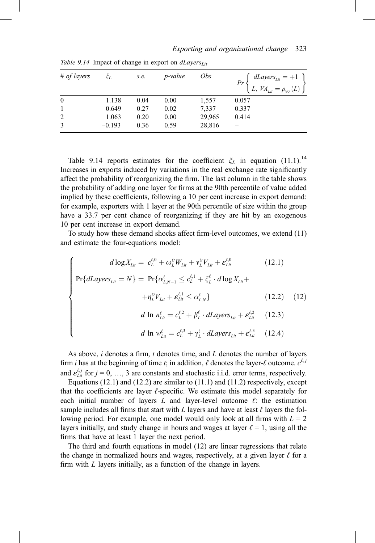| # of layers  | ζī.      | s.e. | <i>p</i> -value | <i>Obs</i> | $\begin{bmatrix} dLayers_{Lit} = +1 \\ L, VA_{Lit} = p_{90}(L) \end{bmatrix}$ |
|--------------|----------|------|-----------------|------------|-------------------------------------------------------------------------------|
| $\mathbf{0}$ | 1.138    | 0.04 | 0.00            | 1,557      | 0.057                                                                         |
| 1            | 0.649    | 0.27 | 0.02            | 7,337      | 0.337                                                                         |
| 2            | 1.063    | 0.20 | 0.00            | 29,965     | 0.414                                                                         |
| 3            | $-0.193$ | 0.36 | 0.59            | 28,816     |                                                                               |

Table 9.14 Impact of change in export on  $dLayers<sub>Lit</sub>$ 

Table 9.14 reports estimates for the coefficient  $\zeta_L$  in equation (11.1).<sup>14</sup> Increases in exports induced by variations in the real exchange rate significantly affect the probability of reorganizing the firm. The last column in the table shows the probability of adding one layer for firms at the 90th percentile of value added implied by these coefficients, following a 10 per cent increase in export demand: for example, exporters with 1 layer at the 90th percentile of size within the group have a 33.7 per cent chance of reorganizing if they are hit by an exogenous 10 per cent increase in export demand.

To study how these demand shocks affect firm-level outcomes, we extend (11) and estimate the four-equations model:

$$
\begin{cases}\n d \log X_{Li} = c_L^{\ell,0} + \omega_L^{\ell} W_{Lit} + v_L^{\ell} V_{Lit} + \varepsilon_{Li}^{\ell,0} & (12.1) \\
\Pr \{dlayers_{Lit} = N\} = \Pr \{ \alpha_{L,N-1}^{\ell} \le c_L^{\ell,1} + \xi_L^{\ell} \cdot d \log X_{Lit} + \\
& + \eta_L^{\ell} V_{Lit} + \varepsilon_{Li}^{\ell,1} \le \alpha_{L,N}^{\ell}\} & (12.2) & (12) \\
d \ln n_{Lit}^{\ell} = c_L^{\ell,2} + \beta_L^{\ell} \cdot dLayers_{Lit} + \varepsilon_{Li}^{\ell,2} & (12.3) \\
d \ln w_{Lit}^{\ell} = c_L^{\ell,3} + \gamma_L^{\ell} \cdot dLayers_{Lit} + \varepsilon_{Li}^{\ell,3} & (12.4)\n\end{cases}
$$

As above,  $i$  denotes a firm,  $t$  denotes time, and  $L$  denotes the number of layers firm *i* has at the beginning of time *t*; in addition,  $\ell$  denotes the layer- $\ell$  outcome.  $c^{\ell, j}$ and  $\varepsilon_{\text{Lit}}^{\ell,j}$  for  $j = 0, ..., 3$  are constants and stochastic i.i.d. error terms, respectively.

Equations (12.1) and (12.2) are similar to (11.1) and (11.2) respectively, except that the coefficients are layer  $\ell$ -specific. We estimate this model separately for each initial number of layers L and layer-level outcome  $\ell$ : the estimation sample includes all firms that start with L layers and have at least  $\ell$  layers the following period. For example, one model would only look at all firms with  $L = 2$ layers initially, and study change in hours and wages at layer  $\ell = 1$ , using all the firms that have at least 1 layer the next period.

The third and fourth equations in model (12) are linear regressions that relate the change in normalized hours and wages, respectively, at a given layer  $\ell$  for a firm with L layers initially, as a function of the change in layers.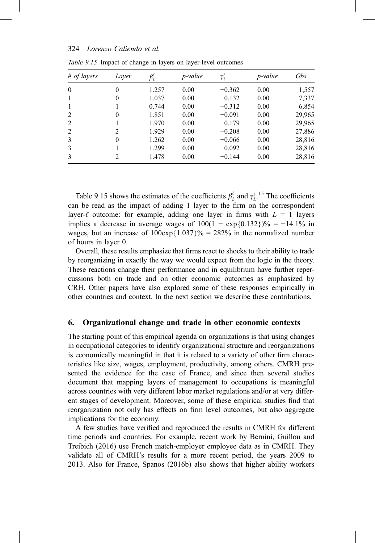| # of layers   | Laver         | $\beta^\ell_L$ | <i>p</i> -value | $\gamma^\ell_L$ | <i>p</i> -value | <i>Obs</i> |
|---------------|---------------|----------------|-----------------|-----------------|-----------------|------------|
| $\Omega$      | $\Omega$      | 1.257          | 0.00            | $-0.362$        | 0.00            | 1,557      |
|               | $\theta$      | 1.037          | 0.00            | $-0.132$        | 0.00            | 7,337      |
|               |               | 0.744          | 0.00            | $-0.312$        | 0.00            | 6,854      |
| $\mathcal{L}$ | $\theta$      | 1.851          | 0.00            | $-0.091$        | 0.00            | 29,965     |
| 2             |               | 1.970          | 0.00            | $-0.179$        | 0.00            | 29,965     |
| 2             | 2             | 1.929          | 0.00            | $-0.208$        | 0.00            | 27,886     |
| 3             | $\theta$      | 1.262          | 0.00            | $-0.066$        | 0.00            | 28,816     |
| 3             |               | 1.299          | 0.00            | $-0.092$        | 0.00            | 28,816     |
| 3             | $\mathcal{L}$ | 1.478          | 0.00            | $-0.144$        | 0.00            | 28,816     |

Table 9.15 Impact of change in layers on layer-level outcomes

Table 9.15 shows the estimates of the coefficients  $\beta_L^{\ell}$  and  $\gamma_L^{\ell}$ .<sup>15</sup> The coefficients can be read as the impact of adding 1 layer to the firm on the correspondent layer- $\ell$  outcome: for example, adding one layer in firms with  $L = 1$  layers implies a decrease in average wages of  $100(1 - \exp\{0.132\})\% = -14.1\%$  in wages, but an increase of  $100 \exp\{1.037\}\% = 282\%$  in the normalized number of hours in layer 0.

Overall, these results emphasize that firms react to shocks to their ability to trade by reorganizing in exactly the way we would expect from the logic in the theory. These reactions change their performance and in equilibrium have further repercussions both on trade and on other economic outcomes as emphasized by CRH. Other papers have also explored some of these responses empirically in other countries and context. In the next section we describe these contributions.

#### 6. Organizational change and trade in other economic contexts

The starting point of this empirical agenda on organizations is that using changes in occupational categories to identify organizational structure and reorganizations is economically meaningful in that it is related to a variety of other firm characteristics like size, wages, employment, productivity, among others. CMRH presented the evidence for the case of France, and since then several studies document that mapping layers of management to occupations is meaningful across countries with very different labor market regulations and/or at very different stages of development. Moreover, some of these empirical studies find that reorganization not only has effects on firm level outcomes, but also aggregate implications for the economy.

A few studies have verified and reproduced the results in CMRH for different time periods and countries. For example, recent work by Bernini, Guillou and Treibich (2016) use French match-employer employee data as in CMRH. They validate all of CMRH's results for a more recent period, the years 2009 to 2013. Also for France, Spanos (2016b) also shows that higher ability workers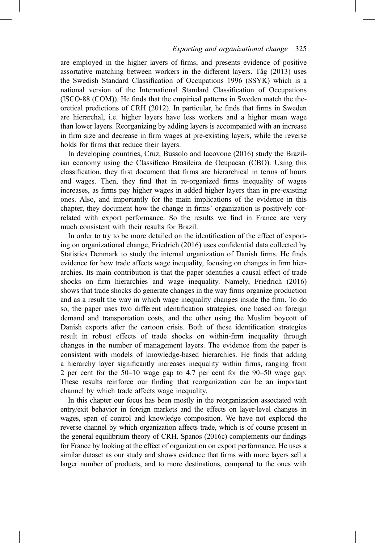#### 325 Exporting and organizational change 325

are employed in the higher layers of firms, and presents evidence of positive assortative matching between workers in the different layers. Tåg (2013) uses the Swedish Standard Classification of Occupations 1996 (SSYK) which is a national version of the International Standard Classification of Occupations (ISCO-88 (COM)). He finds that the empirical patterns in Sweden match the theoretical predictions of CRH (2012). In particular, he finds that firms in Sweden are hierarchal, i.e. higher layers have less workers and a higher mean wage than lower layers. Reorganizing by adding layers is accompanied with an increase in firm size and decrease in firm wages at pre-existing layers, while the reverse holds for firms that reduce their layers.

In developing countries, Cruz, Bussolo and Iacovone (2016) study the Brazilian economy using the Classificao Brasileira de Ocupacao (CBO). Using this classification, they first document that firms are hierarchical in terms of hours and wages. Then, they find that in re-organized firms inequality of wages increases, as firms pay higher wages in added higher layers than in pre-existing ones. Also, and importantly for the main implications of the evidence in this chapter, they document how the change in firms' organization is positively correlated with export performance. So the results we find in France are very much consistent with their results for Brazil.

In order to try to be more detailed on the identification of the effect of exporting on organizational change, Friedrich (2016) uses confidential data collected by Statistics Denmark to study the internal organization of Danish firms. He finds evidence for how trade affects wage inequality, focusing on changes in firm hierarchies. Its main contribution is that the paper identifies a causal effect of trade shocks on firm hierarchies and wage inequality. Namely, Friedrich (2016) shows that trade shocks do generate changes in the way firms organize production and as a result the way in which wage inequality changes inside the firm. To do so, the paper uses two different identification strategies, one based on foreign demand and transportation costs, and the other using the Muslim boycott of Danish exports after the cartoon crisis. Both of these identification strategies result in robust effects of trade shocks on within-firm inequality through changes in the number of management layers. The evidence from the paper is consistent with models of knowledge-based hierarchies. He finds that adding a hierarchy layer significantly increases inequality within firms, ranging from 2 per cent for the 50–10 wage gap to 4.7 per cent for the 90–50 wage gap. These results reinforce our finding that reorganization can be an important channel by which trade affects wage inequality.

In this chapter our focus has been mostly in the reorganization associated with entry/exit behavior in foreign markets and the effects on layer-level changes in wages, span of control and knowledge composition. We have not explored the reverse channel by which organization affects trade, which is of course present in the general equilibrium theory of CRH. Spanos (2016c) complements our findings for France by looking at the effect of organization on export performance. He uses a similar dataset as our study and shows evidence that firms with more layers sell a larger number of products, and to more destinations, compared to the ones with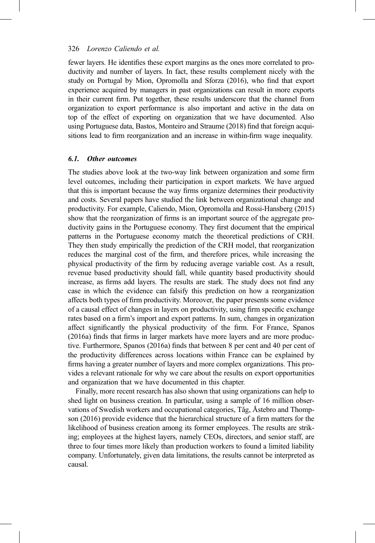fewer layers. He identifies these export margins as the ones more correlated to productivity and number of layers. In fact, these results complement nicely with the study on Portugal by Mion, Opromolla and Sforza (2016), who find that export experience acquired by managers in past organizations can result in more exports in their current firm. Put together, these results underscore that the channel from organization to export performance is also important and active in the data on top of the effect of exporting on organization that we have documented. Also using Portuguese data, Bastos, Monteiro and Straume (2018) find that foreign acquisitions lead to firm reorganization and an increase in within-firm wage inequality.

#### 6.1. Other outcomes

The studies above look at the two-way link between organization and some firm level outcomes, including their participation in export markets. We have argued that this is important because the way firms organize determines their productivity and costs. Several papers have studied the link between organizational change and productivity. For example, Caliendo, Mion, Opromolla and Rossi-Hansberg (2015) show that the reorganization of firms is an important source of the aggregate productivity gains in the Portuguese economy. They first document that the empirical patterns in the Portuguese economy match the theoretical predictions of CRH. They then study empirically the prediction of the CRH model, that reorganization reduces the marginal cost of the firm, and therefore prices, while increasing the physical productivity of the firm by reducing average variable cost. As a result, revenue based productivity should fall, while quantity based productivity should increase, as firms add layers. The results are stark. The study does not find any case in which the evidence can falsify this prediction on how a reorganization affects both types of firm productivity. Moreover, the paper presents some evidence of a causal effect of changes in layers on productivity, using firm specific exchange rates based on a firm's import and export patterns. In sum, changes in organization affect significantly the physical productivity of the firm. For France, Spanos (2016a) finds that firms in larger markets have more layers and are more productive. Furthermore, Spanos (2016a) finds that between 8 per cent and 40 per cent of the productivity differences across locations within France can be explained by firms having a greater number of layers and more complex organizations. This provides a relevant rationale for why we care about the results on export opportunities and organization that we have documented in this chapter.

Finally, more recent research has also shown that using organizations can help to shed light on business creation. In particular, using a sample of 16 million observations of Swedish workers and occupational categories, Tåg, Åstebro and Thompson (2016) provide evidence that the hierarchical structure of a firm matters for the likelihood of business creation among its former employees. The results are striking; employees at the highest layers, namely CEOs, directors, and senior staff, are three to four times more likely than production workers to found a limited liability company. Unfortunately, given data limitations, the results cannot be interpreted as causal.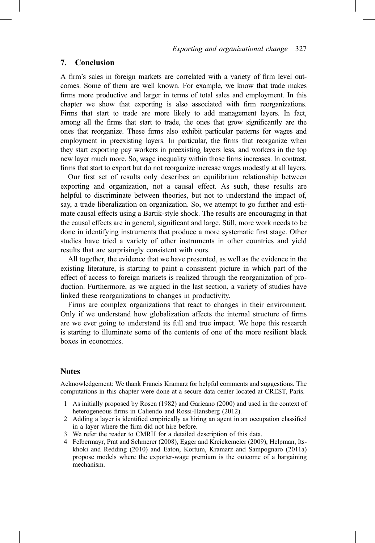## 7. Conclusion

A firm's sales in foreign markets are correlated with a variety of firm level outcomes. Some of them are well known. For example, we know that trade makes firms more productive and larger in terms of total sales and employment. In this chapter we show that exporting is also associated with firm reorganizations. Firms that start to trade are more likely to add management layers. In fact, among all the firms that start to trade, the ones that grow significantly are the ones that reorganize. These firms also exhibit particular patterns for wages and employment in preexisting layers. In particular, the firms that reorganize when they start exporting pay workers in preexisting layers less, and workers in the top new layer much more. So, wage inequality within those firms increases. In contrast, firms that start to export but do not reorganize increase wages modestly at all layers.

Our first set of results only describes an equilibrium relationship between exporting and organization, not a causal effect. As such, these results are helpful to discriminate between theories, but not to understand the impact of, say, a trade liberalization on organization. So, we attempt to go further and estimate causal effects using a Bartik-style shock. The results are encouraging in that the causal effects are in general, significant and large. Still, more work needs to be done in identifying instruments that produce a more systematic first stage. Other studies have tried a variety of other instruments in other countries and yield results that are surprisingly consistent with ours.

All together, the evidence that we have presented, as well as the evidence in the existing literature, is starting to paint a consistent picture in which part of the effect of access to foreign markets is realized through the reorganization of production. Furthermore, as we argued in the last section, a variety of studies have linked these reorganizations to changes in productivity.

Firms are complex organizations that react to changes in their environment. Only if we understand how globalization affects the internal structure of firms are we ever going to understand its full and true impact. We hope this research is starting to illuminate some of the contents of one of the more resilient black boxes in economics.

#### Notes

Acknowledgement: We thank Francis Kramarz for helpful comments and suggestions. The computations in this chapter were done at a secure data center located at CREST, Paris.

- 1 As initially proposed by Rosen (1982) and Garicano (2000) and used in the context of heterogeneous firms in Caliendo and Rossi-Hansberg (2012).
- 2 Adding a layer is identified empirically as hiring an agent in an occupation classified in a layer where the firm did not hire before.
- 3 We refer the reader to CMRH for a detailed description of this data.
- 4 Felbermayr, Prat and Schmerer (2008), Egger and Kreickemeier (2009), Helpman, Itskhoki and Redding (2010) and Eaton, Kortum, Kramarz and Sampognaro (2011a) propose models where the exporter-wage premium is the outcome of a bargaining mechanism.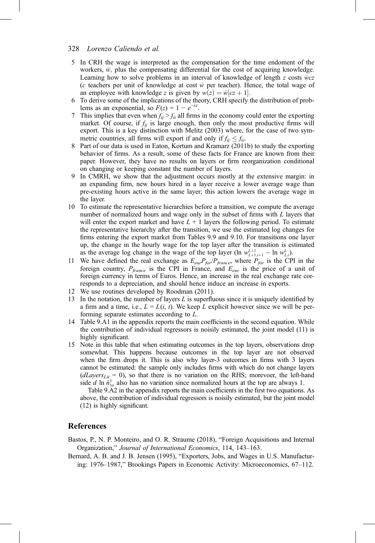- 5 In CRH the wage is interpreted as the compensation for the time endoment of the workers,  $\bar{w}$ , plus the compensating differential for the cost of acquiring knowledge. Learning how to solve problems in an interval of knowledge of length z costs  $\bar{w}$ cz (c teachers per unit of knowledge at cost  $\bar{w}$  per teacher). Hence, the total wage of an employee with knowledge z is given by  $w(z) = \overline{w}|cz + 1|$ .<br>To derive some of the implications of the theory. CRH specify
- 6 To derive some of the implications of the theory, CRH specify the distribution of problems as an exponential, so  $F(z) = 1 - e^{-\lambda z}$ .
- 7 This implies that even when  $f_{ii} > f_{ii}$  all firms in the economy could enter the exporting market. Of course, if  $f_{ij}$  is large enough, then only the most productive firms will export. This is a key distinction with Melitz (2003) where, for the case of two symmetric countries, all firms will export if and only if  $f_{ii} \leq f_{ii}$ .
- 8 Part of our data is used in Eaton, Kortum and Kramarz (2011b) to study the exporting behavior of firms. As a result, some of these facts for France are known from their paper. However, they have no results on layers or firm reorganization conditional on changing or keeping constant the number of layers.
- 9 In CMRH, we show that the adjustment occurs mostly at the extensive margin: in an expanding firm, new hours hired in a layer receive a lower average wage than pre-existing hours active in the same layer; this action lowers the average wage in the layer.
- 10 To estimate the representative hierarchies before a transition, we compute the average number of normalized hours and wage only in the subset of firms with L layers that will enter the export market and have  $L + 1$  layers the following period. To estimate the representative hierarchy after the transition, we use the estimated log changes for firms entering the export market from Tables 9.9 and 9.10. For transitions one layer up, the change in the hourly wage for the top layer after the transition is estimated as the average log change in the wage of the top layer  $(\ln w_{L+1,i+1}^{L+1} - \ln w_{L,i}^{L})$ .<br>We have defined the real exchange as  $F = P_c/P_c$ , where  $P_c$  is the CP
- 11 We have defined the real exchange as  $E_{eur}P_{for}/P_{france}$ , where  $P_{for}$  is the CPI in the foreign country,  $P_{\text{france}}$  is the CPI in France, and  $E_{\text{eur}}$  is the price of a unit of foreign currency in terms of Euros. Hence, an increase in the real exchange rate corresponds to a depreciation, and should hence induce an increase in exports.
- 12 We use routines developed by Roodman (2011).
- 13 In the notation, the number of layers  $L$  is superfluous since it is uniquely identified by a firm and a time, i.e.,  $L = L(i, t)$ . We keep L explicit however since we will be performing separate estimates according to L.
- 14 Table 9.A1 in the appendix reports the main coefficients in the second equation. While the contribution of individual regressors is noisily estimated, the joint model (11) is highly significant.
- 15 Note in this table that when estimating outcomes in the top layers, observations drop somewhat. This happens because outcomes in the top layer are not observed when the firm drops it. This is also why layer-3 outcomes in firms with 3 layers cannot be estimated: the sample only includes firms with which do not change layers  $(dLayers_{Lit} = 0)$ , so that there is no variation on the RHS; morevoer, the left-hand side d ln  $\tilde{n}_{3it}^3$  also has no variation since normalized hours at the top are always 1.

Table 9.A2 in the appendix reports the main coefficients in the first two equations. As above, the contribution of individual regressors is noisily estimated, but the joint model (12) is highly significant.

#### References

Bastos, P., N. P. Monteiro, and O. R. Straume (2018), "Foreign Acquisitions and Internal Organization," Journal of International Economics, 114, 143–163.

Bernard, A. B. and J. B. Jensen (1995), "Exporters, Jobs, and Wages in U.S. Manufacturing: 1976–1987," Brookings Papers in Economic Activity: Microeconomics, 67–112.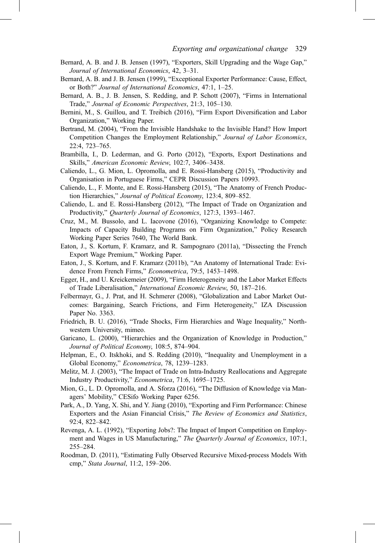- Bernard, A. B. and J. B. Jensen (1997), "Exporters, Skill Upgrading and the Wage Gap," Journal of International Economics, 42, 3–31.
- Bernard, A. B. and J. B. Jensen (1999), "Exceptional Exporter Performance: Cause, Effect, or Both?" Journal of International Economics, 47:1, 1–25.
- Bernard, A. B., J. B. Jensen, S. Redding, and P. Schott (2007), "Firms in International Trade," Journal of Economic Perspectives, 21:3, 105–130.
- Bernini, M., S. Guillou, and T. Treibich (2016), "Firm Export Diversification and Labor Organization," Working Paper.
- Bertrand, M. (2004), "From the Invisible Handshake to the Invisible Hand? How Import Competition Changes the Employment Relationship," Journal of Labor Economics, 22:4, 723–765.
- Brambilla, I., D. Lederman, and G. Porto (2012), "Exports, Export Destinations and Skills," American Economic Review, 102:7, 3406–3438.
- Caliendo, L., G. Mion, L. Opromolla, and E. Rossi-Hansberg (2015), "Productivity and Organisation in Portuguese Firms," CEPR Discussion Papers 10993.
- Caliendo, L., F. Monte, and E. Rossi-Hansberg (2015), "The Anatomy of French Production Hierarchies," Journal of Political Economy, 123:4, 809–852.
- Caliendo, L. and E. Rossi-Hansberg (2012), "The Impact of Trade on Organization and Productivity," Quarterly Journal of Economics, 127:3, 1393–1467.
- Cruz, M., M. Bussolo, and L. Iacovone (2016), "Organizing Knowledge to Compete: Impacts of Capacity Building Programs on Firm Organization," Policy Research Working Paper Series 7640, The World Bank.
- Eaton, J., S. Kortum, F. Kramarz, and R. Sampognaro (2011a), "Dissecting the French Export Wage Premium," Working Paper.
- Eaton, J., S. Kortum, and F. Kramarz (2011b), "An Anatomy of International Trade: Evidence From French Firms," Econometrica, 79:5, 1453-1498.
- Egger, H., and U. Kreickemeier (2009), "Firm Heterogeneity and the Labor Market Effects of Trade Liberalisation," International Economic Review, 50, 187–216.
- Felbermayr, G., J. Prat, and H. Schmerer (2008), "Globalization and Labor Market Outcomes: Bargaining, Search Frictions, and Firm Heterogeneity," IZA Discussion Paper No. 3363.
- Friedrich, B. U. (2016), "Trade Shocks, Firm Hierarchies and Wage Inequality," Northwestern University, mimeo.
- Garicano, L. (2000), "Hierarchies and the Organization of Knowledge in Production," Journal of Political Economy, 108:5, 874–904.
- Helpman, E., O. Itskhoki, and S. Redding (2010), "Inequality and Unemployment in a Global Economy," Econometrica, 78, 1239–1283.
- Melitz, M. J. (2003), "The Impact of Trade on Intra-Industry Reallocations and Aggregate Industry Productivity," Econometrica, 71:6, 1695–1725.
- Mion, G., L. D. Opromolla, and A. Sforza (2016), "The Diffusion of Knowledge via Managers' Mobility," CESifo Working Paper 6256.
- Park, A., D. Yang, X. Shi, and Y. Jiang (2010), "Exporting and Firm Performance: Chinese Exporters and the Asian Financial Crisis," The Review of Economics and Statistics, 92:4, 822–842.
- Revenga, A. L. (1992), "Exporting Jobs?: The Impact of Import Competition on Employment and Wages in US Manufacturing," The Quarterly Journal of Economics, 107:1, 255–284.
- Roodman, D. (2011), "Estimating Fully Observed Recursive Mixed-process Models With cmp," Stata Journal, 11:2, 159–206.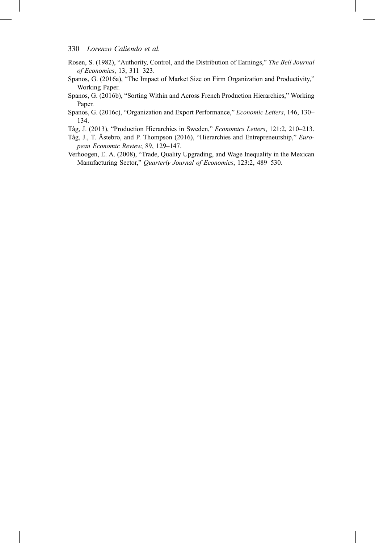- Rosen, S. (1982), "Authority, Control, and the Distribution of Earnings," The Bell Journal of Economics, 13, 311–323.
- Spanos, G. (2016a), "The Impact of Market Size on Firm Organization and Productivity," Working Paper.
- Spanos, G. (2016b), "Sorting Within and Across French Production Hierarchies," Working Paper.
- Spanos, G. (2016c), "Organization and Export Performance," Economic Letters, 146, 130– 134.
- Tåg, J. (2013), "Production Hierarchies in Sweden," Economics Letters, 121:2, 210–213.
- Tåg, J., T. Åstebro, and P. Thompson (2016), "Hierarchies and Entrepreneurship," European Economic Review, 89, 129–147.
- Verhoogen, E. A. (2008), "Trade, Quality Upgrading, and Wage Inequality in the Mexican Manufacturing Sector," Quarterly Journal of Economics, 123:2, 489–530.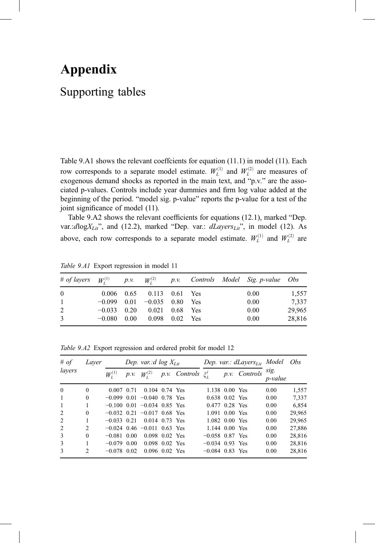# Appendix Supporting tables

Table 9.A1 shows the relevant coeffcients for equation (11.1) in model (11). Each row corresponds to a separate model estimate.  $W_L^{(1)}$  and  $W_L^{(2)}$  are measures of exogenous demand shocks as reported in the main text, and "p.v." are the associated p-values. Controls include year dummies and firm log value added at the beginning of the period. "model sig. p-value" reports the p-value for a test of the joint significance of model (11).

Table 9.A2 shows the relevant coefficients for equations (12.1), marked "Dep. var.:dlog $X_{Lit}$ ", and (12.2), marked "Dep. var.: dLayers $_{Lit}$ ", in model (12). As above, each row corresponds to a separate model estimate.  $W_L^{(1)}$  and  $W_L^{(2)}$  are

|                |  |                                 |  | # of layers $W_i^{(1)}$ p.v. $W_i^{(2)}$ p.v. Controls Model Sig. p-value Obs |        |
|----------------|--|---------------------------------|--|-------------------------------------------------------------------------------|--------|
| $\theta$       |  | 0.006 0.65 0.113 0.61 Yes       |  | 0.00                                                                          | 1,557  |
| $\mathbf{1}$   |  | $-0.099$ 0.01 $-0.035$ 0.80 Yes |  | 0.00                                                                          | 7.337  |
| $\overline{2}$ |  | $-0.033$ 0.20 0.021 0.68 Yes    |  | 0.00                                                                          | 29,965 |
| 3              |  | $-0.080$ 0.00 0.098 0.02 Yes    |  | 0.00                                                                          | 28,816 |

Table 9.A1 Export regression in model 11

Table 9.A2 Export regression and ordered probit for model 12

| # of<br>layers | Laver          | Dep. var.:d $log X_{1it}$ |      |                                 |  |                              | Dep. var.: $dLayers_{Li}$ Model |  |               |                         | <i>Obs</i> |
|----------------|----------------|---------------------------|------|---------------------------------|--|------------------------------|---------------------------------|--|---------------|-------------------------|------------|
|                |                | $W_{i}^{(1)}$             | p.v. | $W_{1}^{(2)}$                   |  | p.v. Controls $\xi_l^{\ell}$ |                                 |  | p.v. Controls | sig.<br><i>p</i> -value |            |
| $\Omega$       | $\Omega$       | $0.007$ 0.71              |      | $0.104$ 0.74 Yes                |  |                              | 1.138 0.00 Yes                  |  |               | 0.00                    | 1,557      |
| $\mathbf{1}$   | $\Omega$       |                           |      | $-0.099$ 0.01 $-0.040$ 0.78 Yes |  |                              | $0.638$ $0.02$ Yes              |  |               | 0.00                    | 7.337      |
| 1              |                |                           |      | $-0.100$ 0.01 $-0.034$ 0.85 Yes |  |                              | $0.477$ 0.28 Yes                |  |               | 0.00                    | 6.854      |
| 2              | $\theta$       |                           |      | $-0.032$ 0.21 $-0.017$ 0.68 Yes |  |                              | $1.091$ 0.00 Yes                |  |               | 0.00                    | 29.965     |
| 2              |                | $-0.033 \pm 0.21$         |      | 0.014 0.73 Yes                  |  |                              | 1.082 0.00 Yes                  |  |               | 0.00                    | 29,965     |
| 2              | $\overline{2}$ |                           |      | $-0.024$ 0.46 $-0.011$ 0.63 Yes |  |                              | $1.144$ 0.00 Yes                |  |               | 0.00                    | 27.886     |
| $\mathcal{R}$  | $\Omega$       | $-0.081$ 0.00             |      | $0.098$ $0.02$ Yes              |  |                              | $-0.058$ 0.87 Yes               |  |               | 0.00                    | 28.816     |
| 3              |                | $-0.079$ 0.00             |      | $0.098$ $0.02$ Yes              |  |                              | $-0.034$ 0.93 Yes               |  |               | 0.00                    | 28.816     |
| $\mathbf{3}$   | $\overline{2}$ | $-0.078$ 0.02             |      | $0.096$ $0.02$ Yes              |  |                              | $-0.084$ 0.83 Yes               |  |               | 0.00                    | 28,816     |